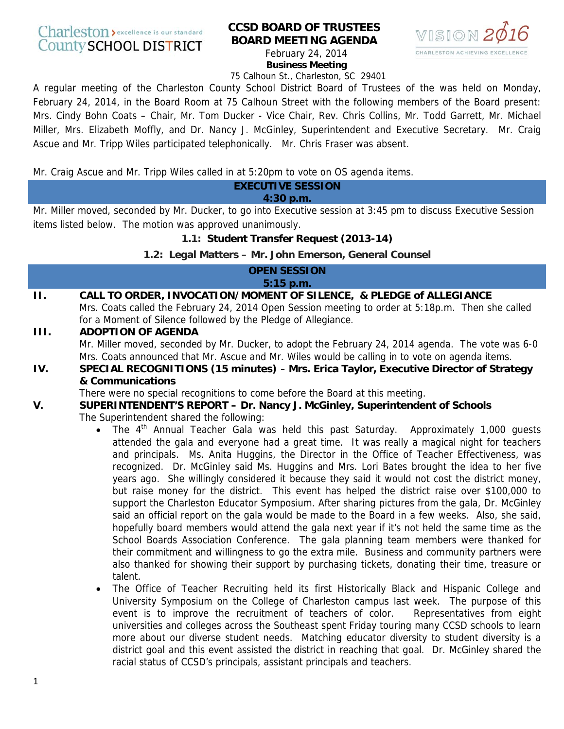## Charleston > excellence is our standard **County SCHOOL DISTRICT**

# **CCSD BOARD OF TRUSTEES BOARD MEETING AGENDA**



February 24, 2014 **Business Meeting** 

75 Calhoun St., Charleston, SC 29401

A regular meeting of the Charleston County School District Board of Trustees of the was held on Monday, February 24, 2014, in the Board Room at 75 Calhoun Street with the following members of the Board present: Mrs. Cindy Bohn Coats – Chair, Mr. Tom Ducker - Vice Chair, Rev. Chris Collins, Mr. Todd Garrett, Mr. Michael Miller, Mrs. Elizabeth Moffly, and Dr. Nancy J. McGinley, Superintendent and Executive Secretary. Mr. Craig Ascue and Mr. Tripp Wiles participated telephonically. Mr. Chris Fraser was absent.

Mr. Craig Ascue and Mr. Tripp Wiles called in at 5:20pm to vote on OS agenda items.

## **EXECUTIVE SESSION**

## **4:30 p.m.**

Mr. Miller moved, seconded by Mr. Ducker, to go into Executive session at 3:45 pm to discuss Executive Session items listed below. The motion was approved unanimously.

## **1.1: Student Transfer Request (2013-14)**

## **1.2: Legal Matters – Mr. John Emerson, General Counsel**

#### **OPEN SESSION 5:15 p.m.**

#### **II. CALL TO ORDER, INVOCATION/MOMENT OF SILENCE, & PLEDGE of ALLEGIANCE**  Mrs. Coats called the February 24, 2014 Open Session meeting to order at 5:18p.m. Then she called for a Moment of Silence followed by the Pledge of Allegiance.

## **III. ADOPTION OF AGENDA**

Mr. Miller moved, seconded by Mr. Ducker, to adopt the February 24, 2014 agenda. The vote was 6-0 Mrs. Coats announced that Mr. Ascue and Mr. Wiles would be calling in to vote on agenda items.

## **IV. SPECIAL RECOGNITIONS (15 minutes)** – **Mrs. Erica Taylor, Executive Director of Strategy & Communications**

There were no special recognitions to come before the Board at this meeting.

# **V. SUPERINTENDENT'S REPORT – Dr. Nancy J. McGinley, Superintendent of Schools**

The Superintendent shared the following:

- The 4<sup>th</sup> Annual Teacher Gala was held this past Saturday. Approximately 1,000 quests attended the gala and everyone had a great time. It was really a magical night for teachers and principals. Ms. Anita Huggins, the Director in the Office of Teacher Effectiveness, was recognized. Dr. McGinley said Ms. Huggins and Mrs. Lori Bates brought the idea to her five years ago. She willingly considered it because they said it would not cost the district money, but raise money for the district. This event has helped the district raise over \$100,000 to support the Charleston Educator Symposium. After sharing pictures from the gala, Dr. McGinley said an official report on the gala would be made to the Board in a few weeks. Also, she said, hopefully board members would attend the gala next year if it's not held the same time as the School Boards Association Conference. The gala planning team members were thanked for their commitment and willingness to go the extra mile. Business and community partners were also thanked for showing their support by purchasing tickets, donating their time, treasure or talent.
- The Office of Teacher Recruiting held its first Historically Black and Hispanic College and University Symposium on the College of Charleston campus last week. The purpose of this event is to improve the recruitment of teachers of color. Representatives from eight universities and colleges across the Southeast spent Friday touring many CCSD schools to learn more about our diverse student needs. Matching educator diversity to student diversity is a district goal and this event assisted the district in reaching that goal. Dr. McGinley shared the racial status of CCSD's principals, assistant principals and teachers.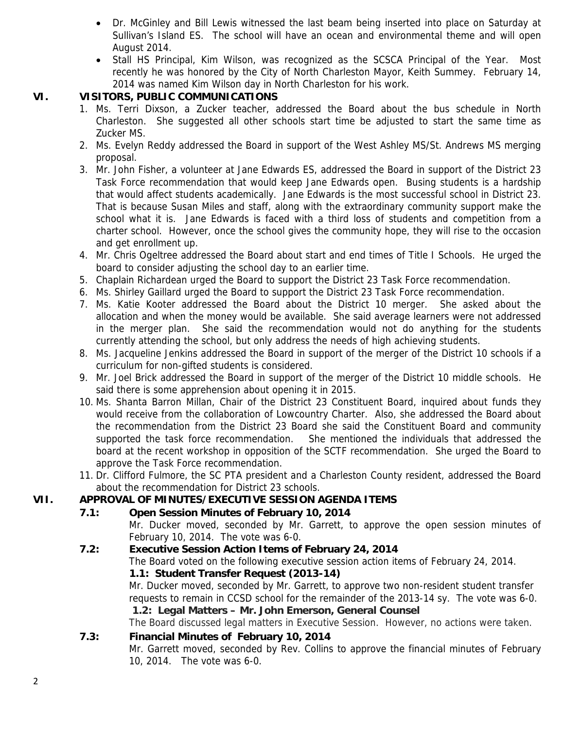- Dr. McGinley and Bill Lewis witnessed the last beam being inserted into place on Saturday at Sullivan's Island ES. The school will have an ocean and environmental theme and will open August 2014.
- Stall HS Principal, Kim Wilson, was recognized as the SCSCA Principal of the Year. Most recently he was honored by the City of North Charleston Mayor, Keith Summey. February 14, 2014 was named Kim Wilson day in North Charleston for his work.

## **VI. VISITORS, PUBLIC COMMUNICATIONS**

- 1. Ms. Terri Dixson, a Zucker teacher, addressed the Board about the bus schedule in North Charleston. She suggested all other schools start time be adjusted to start the same time as Zucker MS.
- 2. Ms. Evelyn Reddy addressed the Board in support of the West Ashley MS/St. Andrews MS merging proposal.
- 3. Mr. John Fisher, a volunteer at Jane Edwards ES, addressed the Board in support of the District 23 Task Force recommendation that would keep Jane Edwards open. Busing students is a hardship that would affect students academically. Jane Edwards is the most successful school in District 23. That is because Susan Miles and staff, along with the extraordinary community support make the school what it is. Jane Edwards is faced with a third loss of students and competition from a charter school. However, once the school gives the community hope, they will rise to the occasion and get enrollment up.
- 4. Mr. Chris Ogeltree addressed the Board about start and end times of Title I Schools. He urged the board to consider adjusting the school day to an earlier time.
- 5. Chaplain Richardean urged the Board to support the District 23 Task Force recommendation.
- 6. Ms. Shirley Gaillard urged the Board to support the District 23 Task Force recommendation.
- 7. Ms. Katie Kooter addressed the Board about the District 10 merger. She asked about the allocation and when the money would be available. She said average learners were not addressed in the merger plan. She said the recommendation would not do anything for the students currently attending the school, but only address the needs of high achieving students.
- 8. Ms. Jacqueline Jenkins addressed the Board in support of the merger of the District 10 schools if a curriculum for non-gifted students is considered.
- 9. Mr. Joel Brick addressed the Board in support of the merger of the District 10 middle schools. He said there is some apprehension about opening it in 2015.
- 10. Ms. Shanta Barron Millan, Chair of the District 23 Constituent Board, inquired about funds they would receive from the collaboration of Lowcountry Charter. Also, she addressed the Board about the recommendation from the District 23 Board she said the Constituent Board and community supported the task force recommendation. She mentioned the individuals that addressed the board at the recent workshop in opposition of the SCTF recommendation. She urged the Board to approve the Task Force recommendation.
- 11. Dr. Clifford Fulmore, the SC PTA president and a Charleston County resident, addressed the Board about the recommendation for District 23 schools.

## **VII. APPROVAL OF MINUTES/EXECUTIVE SESSION AGENDA ITEMS**

## **7.1: Open Session Minutes of February 10, 2014**

Mr. Ducker moved, seconded by Mr. Garrett, to approve the open session minutes of February 10, 2014. The vote was 6-0.

**7.2: Executive Session Action Items of February 24, 2014** The Board voted on the following executive session action items of February 24, 2014.  **1.1: Student Transfer Request (2013-14)**  Mr. Ducker moved, seconded by Mr. Garrett, to approve two non-resident student transfer requests to remain in CCSD school for the remainder of the 2013-14 sy. The vote was 6-0.  **1.2: Legal Matters – Mr. John Emerson, General Counsel**  The Board discussed legal matters in Executive Session. However, no actions were taken.

## **7.3: Financial Minutes of February 10, 2014**

Mr. Garrett moved, seconded by Rev. Collins to approve the financial minutes of February 10, 2014. The vote was 6-0.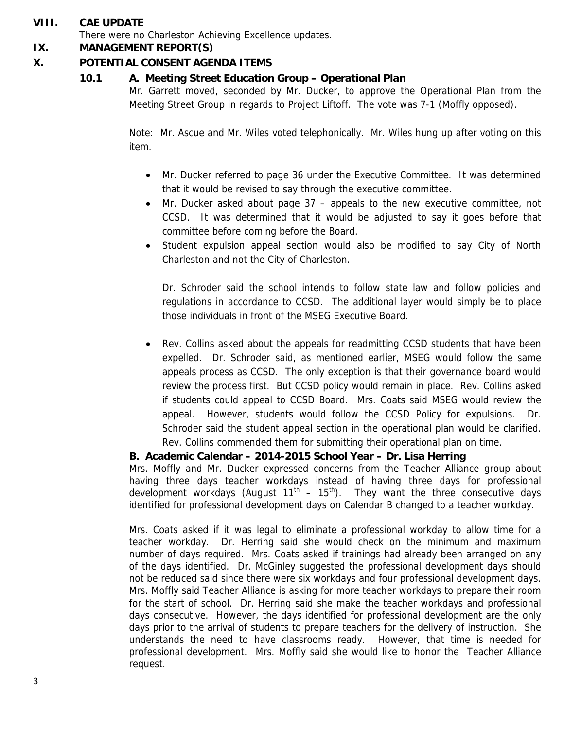## **VIII. CAE UPDATE**

There were no Charleston Achieving Excellence updates.

## **IX. MANAGEMENT REPORT(S)**

## **X. POTENTIAL CONSENT AGENDA ITEMS**

## **10.1 A. Meeting Street Education Group – Operational Plan**

Mr. Garrett moved, seconded by Mr. Ducker, to approve the Operational Plan from the Meeting Street Group in regards to Project Liftoff. The vote was 7-1 (Moffly opposed).

Note: Mr. Ascue and Mr. Wiles voted telephonically. Mr. Wiles hung up after voting on this item.

- Mr. Ducker referred to page 36 under the Executive Committee. It was determined that it would be revised to say through the executive committee.
- Mr. Ducker asked about page 37 appeals to the new executive committee, not CCSD. It was determined that it would be adjusted to say it goes before that committee before coming before the Board.
- Student expulsion appeal section would also be modified to say City of North Charleston and not the City of Charleston.

Dr. Schroder said the school intends to follow state law and follow policies and regulations in accordance to CCSD. The additional layer would simply be to place those individuals in front of the MSEG Executive Board.

• Rev. Collins asked about the appeals for readmitting CCSD students that have been expelled. Dr. Schroder said, as mentioned earlier, MSEG would follow the same appeals process as CCSD. The only exception is that their governance board would review the process first. But CCSD policy would remain in place. Rev. Collins asked if students could appeal to CCSD Board. Mrs. Coats said MSEG would review the appeal. However, students would follow the CCSD Policy for expulsions. Dr. Schroder said the student appeal section in the operational plan would be clarified. Rev. Collins commended them for submitting their operational plan on time.

## **B. Academic Calendar – 2014-2015 School Year – Dr. Lisa Herring**

Mrs. Moffly and Mr. Ducker expressed concerns from the Teacher Alliance group about having three days teacher workdays instead of having three days for professional development workdays (August  $11<sup>th</sup> - 15<sup>th</sup>$ ). They want the three consecutive days identified for professional development days on Calendar B changed to a teacher workday.

Mrs. Coats asked if it was legal to eliminate a professional workday to allow time for a teacher workday. Dr. Herring said she would check on the minimum and maximum number of days required. Mrs. Coats asked if trainings had already been arranged on any of the days identified. Dr. McGinley suggested the professional development days should not be reduced said since there were six workdays and four professional development days. Mrs. Moffly said Teacher Alliance is asking for more teacher workdays to prepare their room for the start of school. Dr. Herring said she make the teacher workdays and professional days consecutive. However, the days identified for professional development are the only days prior to the arrival of students to prepare teachers for the delivery of instruction. She understands the need to have classrooms ready. However, that time is needed for professional development. Mrs. Moffly said she would like to honor the Teacher Alliance request.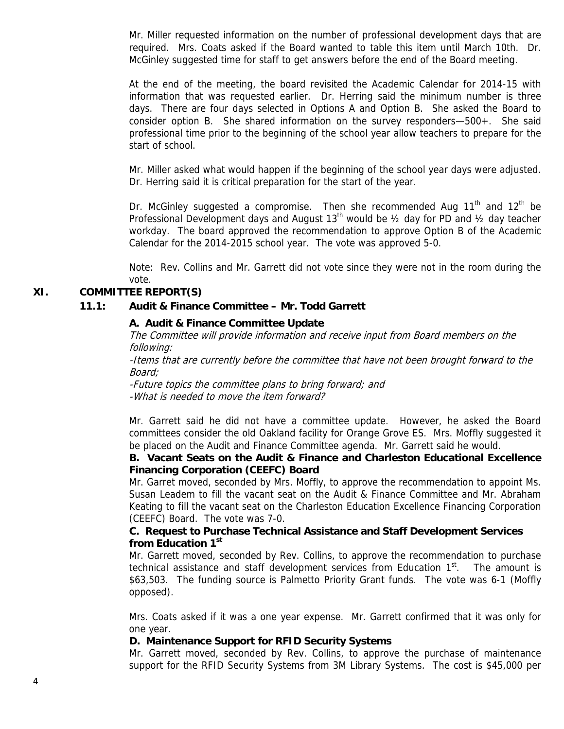Mr. Miller requested information on the number of professional development days that are required. Mrs. Coats asked if the Board wanted to table this item until March 10th. Dr. McGinley suggested time for staff to get answers before the end of the Board meeting.

At the end of the meeting, the board revisited the Academic Calendar for 2014-15 with information that was requested earlier. Dr. Herring said the minimum number is three days. There are four days selected in Options A and Option B. She asked the Board to consider option B. She shared information on the survey responders—500+. She said professional time prior to the beginning of the school year allow teachers to prepare for the start of school.

Mr. Miller asked what would happen if the beginning of the school year days were adjusted. Dr. Herring said it is critical preparation for the start of the year.

Dr. McGinley suggested a compromise. Then she recommended Aug  $11<sup>th</sup>$  and  $12<sup>th</sup>$  be Professional Development days and August 13<sup>th</sup> would be  $\frac{1}{2}$  day for PD and  $\frac{1}{2}$  day teacher workday. The board approved the recommendation to approve Option B of the Academic Calendar for the 2014-2015 school year. The vote was approved 5-0.

Note: Rev. Collins and Mr. Garrett did not vote since they were not in the room during the vote.

## **XI. COMMITTEE REPORT(S)**

#### **11.1: Audit & Finance Committee – Mr. Todd Garrett**

#### **A. Audit & Finance Committee Update**

The Committee will provide information and receive input from Board members on the following:

-Items that are currently before the committee that have not been brought forward to the Board;

-Future topics the committee plans to bring forward; and -What is needed to move the item forward?

Mr. Garrett said he did not have a committee update. However, he asked the Board committees consider the old Oakland facility for Orange Grove ES. Mrs. Moffly suggested it be placed on the Audit and Finance Committee agenda. Mr. Garrett said he would.

## **B. Vacant Seats on the Audit & Finance and Charleston Educational Excellence Financing Corporation (CEEFC) Board**

Mr. Garret moved, seconded by Mrs. Moffly, to approve the recommendation to appoint Ms. Susan Leadem to fill the vacant seat on the Audit & Finance Committee and Mr. Abraham Keating to fill the vacant seat on the Charleston Education Excellence Financing Corporation (CEEFC) Board. The vote was 7-0.

#### **C. Request to Purchase Technical Assistance and Staff Development Services from Education 1st**

Mr. Garrett moved, seconded by Rev. Collins, to approve the recommendation to purchase technical assistance and staff development services from Education  $1<sup>st</sup>$ . The amount is \$63,503. The funding source is Palmetto Priority Grant funds. The vote was 6-1 (Moffly opposed).

Mrs. Coats asked if it was a one year expense. Mr. Garrett confirmed that it was only for one year.

#### **D. Maintenance Support for RFID Security Systems**

Mr. Garrett moved, seconded by Rev. Collins, to approve the purchase of maintenance support for the RFID Security Systems from 3M Library Systems. The cost is \$45,000 per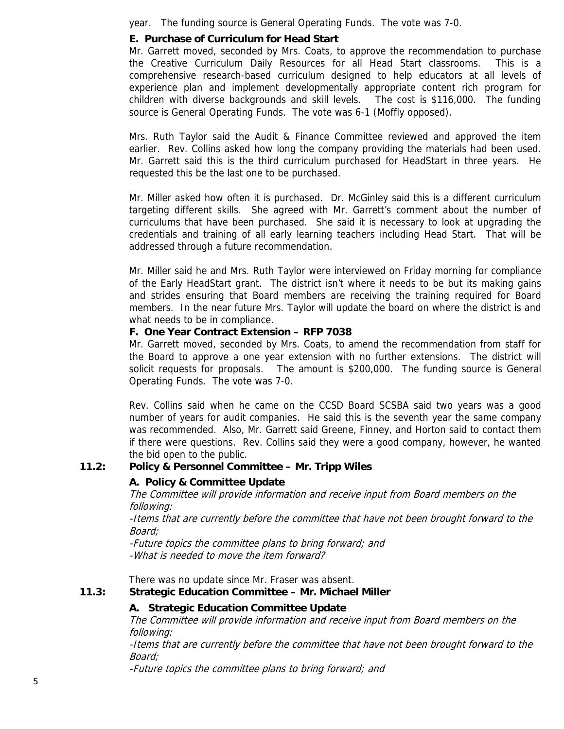year. The funding source is General Operating Funds. The vote was 7-0.

## **E. Purchase of Curriculum for Head Start**

Mr. Garrett moved, seconded by Mrs. Coats, to approve the recommendation to purchase the Creative Curriculum Daily Resources for all Head Start classrooms. This is a comprehensive research-based curriculum designed to help educators at all levels of experience plan and implement developmentally appropriate content rich program for children with diverse backgrounds and skill levels. The cost is \$116,000. The funding source is General Operating Funds. The vote was 6-1 (Moffly opposed).

Mrs. Ruth Taylor said the Audit & Finance Committee reviewed and approved the item earlier. Rev. Collins asked how long the company providing the materials had been used. Mr. Garrett said this is the third curriculum purchased for HeadStart in three years. He requested this be the last one to be purchased.

Mr. Miller asked how often it is purchased. Dr. McGinley said this is a different curriculum targeting different skills. She agreed with Mr. Garrett's comment about the number of curriculums that have been purchased. She said it is necessary to look at upgrading the credentials and training of all early learning teachers including Head Start. That will be addressed through a future recommendation.

Mr. Miller said he and Mrs. Ruth Taylor were interviewed on Friday morning for compliance of the Early HeadStart grant. The district isn't where it needs to be but its making gains and strides ensuring that Board members are receiving the training required for Board members. In the near future Mrs. Taylor will update the board on where the district is and what needs to be in compliance.

## **F. One Year Contract Extension – RFP 7038**

Mr. Garrett moved, seconded by Mrs. Coats, to amend the recommendation from staff for the Board to approve a one year extension with no further extensions. The district will solicit requests for proposals. The amount is \$200,000. The funding source is General Operating Funds. The vote was 7-0.

Rev. Collins said when he came on the CCSD Board SCSBA said two years was a good number of years for audit companies. He said this is the seventh year the same company was recommended. Also, Mr. Garrett said Greene, Finney, and Horton said to contact them if there were questions. Rev. Collins said they were a good company, however, he wanted the bid open to the public.

## **11.2: Policy & Personnel Committee – Mr. Tripp Wiles**

## **A. Policy & Committee Update**

The Committee will provide information and receive input from Board members on the following:

-Items that are currently before the committee that have not been brought forward to the Board;

-Future topics the committee plans to bring forward; and -What is needed to move the item forward?

There was no update since Mr. Fraser was absent.

## **11.3: Strategic Education Committee – Mr. Michael Miller**

## **A. Strategic Education Committee Update**

The Committee will provide information and receive input from Board members on the following:

-Items that are currently before the committee that have not been brought forward to the Board;

-Future topics the committee plans to bring forward; and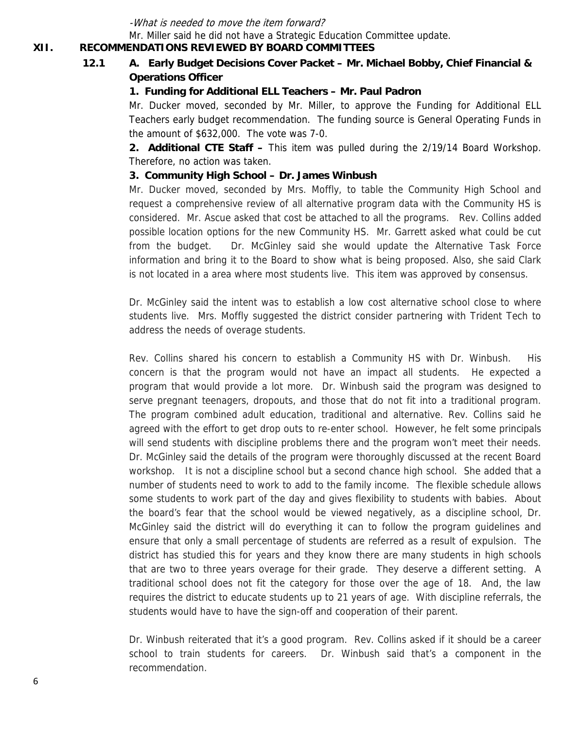-What is needed to move the item forward?

Mr. Miller said he did not have a Strategic Education Committee update.

#### **XII. RECOMMENDATIONS REVIEWED BY BOARD COMMITTEES**

## **12.1 A. Early Budget Decisions Cover Packet – Mr. Michael Bobby, Chief Financial & Operations Officer**

## **1. Funding for Additional ELL Teachers – Mr. Paul Padron**

Mr. Ducker moved, seconded by Mr. Miller, to approve the Funding for Additional ELL Teachers early budget recommendation. The funding source is General Operating Funds in the amount of \$632,000. The vote was 7-0.

 **2. Additional CTE Staff –** This item was pulled during the 2/19/14 Board Workshop. Therefore, no action was taken.

#### **3. Community High School – Dr. James Winbush**

Mr. Ducker moved, seconded by Mrs. Moffly, to table the Community High School and request a comprehensive review of all alternative program data with the Community HS is considered. Mr. Ascue asked that cost be attached to all the programs. Rev. Collins added possible location options for the new Community HS. Mr. Garrett asked what could be cut from the budget. Dr. McGinley said she would update the Alternative Task Force information and bring it to the Board to show what is being proposed. Also, she said Clark is not located in a area where most students live. This item was approved by consensus.

Dr. McGinley said the intent was to establish a low cost alternative school close to where students live. Mrs. Moffly suggested the district consider partnering with Trident Tech to address the needs of overage students.

Rev. Collins shared his concern to establish a Community HS with Dr. Winbush. His concern is that the program would not have an impact all students. He expected a program that would provide a lot more. Dr. Winbush said the program was designed to serve pregnant teenagers, dropouts, and those that do not fit into a traditional program. The program combined adult education, traditional and alternative. Rev. Collins said he agreed with the effort to get drop outs to re-enter school. However, he felt some principals will send students with discipline problems there and the program won't meet their needs. Dr. McGinley said the details of the program were thoroughly discussed at the recent Board workshop. It is not a discipline school but a second chance high school. She added that a number of students need to work to add to the family income. The flexible schedule allows some students to work part of the day and gives flexibility to students with babies. About the board's fear that the school would be viewed negatively, as a discipline school, Dr. McGinley said the district will do everything it can to follow the program guidelines and ensure that only a small percentage of students are referred as a result of expulsion. The district has studied this for years and they know there are many students in high schools that are two to three years overage for their grade. They deserve a different setting. A traditional school does not fit the category for those over the age of 18. And, the law requires the district to educate students up to 21 years of age. With discipline referrals, the students would have to have the sign-off and cooperation of their parent.

Dr. Winbush reiterated that it's a good program. Rev. Collins asked if it should be a career school to train students for careers. Dr. Winbush said that's a component in the recommendation.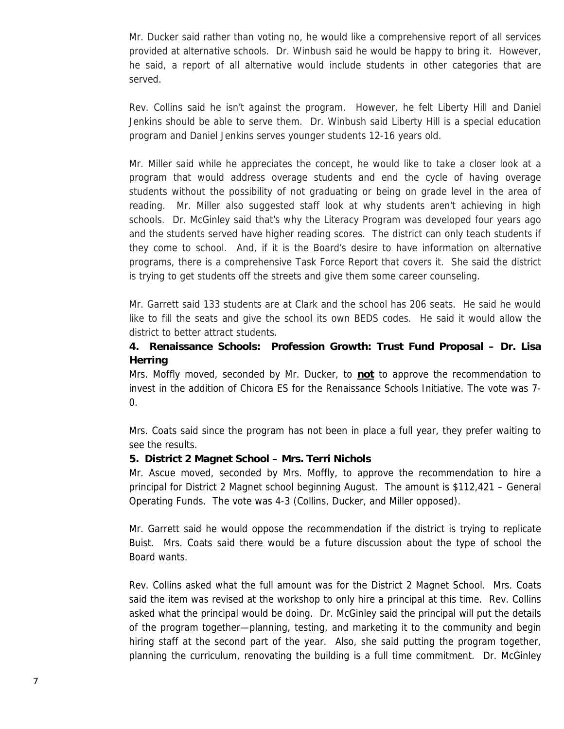Mr. Ducker said rather than voting no, he would like a comprehensive report of all services provided at alternative schools. Dr. Winbush said he would be happy to bring it. However, he said, a report of all alternative would include students in other categories that are served.

Rev. Collins said he isn't against the program. However, he felt Liberty Hill and Daniel Jenkins should be able to serve them. Dr. Winbush said Liberty Hill is a special education program and Daniel Jenkins serves younger students 12-16 years old.

Mr. Miller said while he appreciates the concept, he would like to take a closer look at a program that would address overage students and end the cycle of having overage students without the possibility of not graduating or being on grade level in the area of reading. Mr. Miller also suggested staff look at why students aren't achieving in high schools. Dr. McGinley said that's why the Literacy Program was developed four years ago and the students served have higher reading scores. The district can only teach students if they come to school. And, if it is the Board's desire to have information on alternative programs, there is a comprehensive Task Force Report that covers it. She said the district is trying to get students off the streets and give them some career counseling.

Mr. Garrett said 133 students are at Clark and the school has 206 seats. He said he would like to fill the seats and give the school its own BEDS codes. He said it would allow the district to better attract students.

## **4. Renaissance Schools: Profession Growth: Trust Fund Proposal – Dr. Lisa Herring**

Mrs. Moffly moved, seconded by Mr. Ducker, to **not** to approve the recommendation to invest in the addition of Chicora ES for the Renaissance Schools Initiative. The vote was 7- 0.

Mrs. Coats said since the program has not been in place a full year, they prefer waiting to see the results.

## **5. District 2 Magnet School – Mrs. Terri Nichols**

Mr. Ascue moved, seconded by Mrs. Moffly, to approve the recommendation to hire a principal for District 2 Magnet school beginning August. The amount is \$112,421 – General Operating Funds. The vote was 4-3 (Collins, Ducker, and Miller opposed).

Mr. Garrett said he would oppose the recommendation if the district is trying to replicate Buist. Mrs. Coats said there would be a future discussion about the type of school the Board wants.

Rev. Collins asked what the full amount was for the District 2 Magnet School. Mrs. Coats said the item was revised at the workshop to only hire a principal at this time. Rev. Collins asked what the principal would be doing. Dr. McGinley said the principal will put the details of the program together—planning, testing, and marketing it to the community and begin hiring staff at the second part of the year. Also, she said putting the program together, planning the curriculum, renovating the building is a full time commitment. Dr. McGinley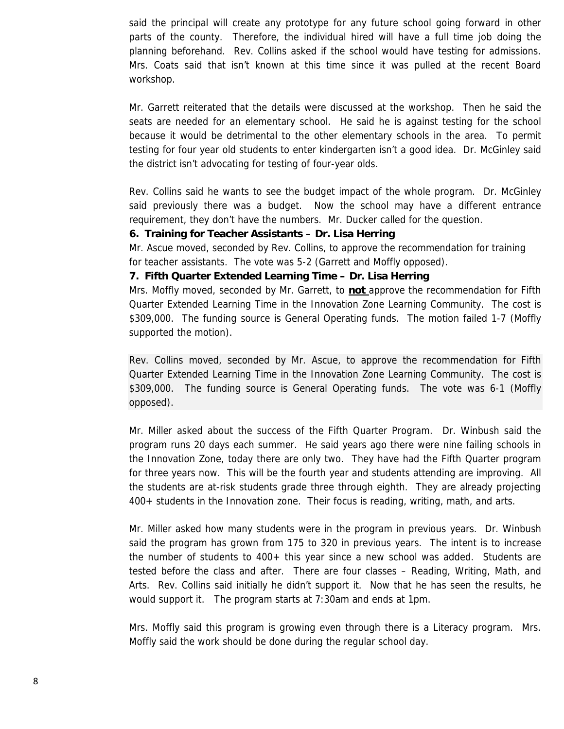said the principal will create any prototype for any future school going forward in other parts of the county. Therefore, the individual hired will have a full time job doing the planning beforehand. Rev. Collins asked if the school would have testing for admissions. Mrs. Coats said that isn't known at this time since it was pulled at the recent Board workshop.

Mr. Garrett reiterated that the details were discussed at the workshop. Then he said the seats are needed for an elementary school. He said he is against testing for the school because it would be detrimental to the other elementary schools in the area. To permit testing for four year old students to enter kindergarten isn't a good idea. Dr. McGinley said the district isn't advocating for testing of four-year olds.

Rev. Collins said he wants to see the budget impact of the whole program. Dr. McGinley said previously there was a budget. Now the school may have a different entrance requirement, they don't have the numbers. Mr. Ducker called for the question.

#### **6. Training for Teacher Assistants – Dr. Lisa Herring**

Mr. Ascue moved, seconded by Rev. Collins, to approve the recommendation for training for teacher assistants. The vote was 5-2 (Garrett and Moffly opposed).

#### **7. Fifth Quarter Extended Learning Time – Dr. Lisa Herring**

Mrs. Moffly moved, seconded by Mr. Garrett, to **not** approve the recommendation for Fifth Quarter Extended Learning Time in the Innovation Zone Learning Community. The cost is \$309,000. The funding source is General Operating funds. The motion failed 1-7 (Moffly supported the motion).

Rev. Collins moved, seconded by Mr. Ascue, to approve the recommendation for Fifth Quarter Extended Learning Time in the Innovation Zone Learning Community. The cost is \$309,000. The funding source is General Operating funds. The vote was 6-1 (Moffly opposed).

Mr. Miller asked about the success of the Fifth Quarter Program. Dr. Winbush said the program runs 20 days each summer. He said years ago there were nine failing schools in the Innovation Zone, today there are only two. They have had the Fifth Quarter program for three years now. This will be the fourth year and students attending are improving. All the students are at-risk students grade three through eighth. They are already projecting 400+ students in the Innovation zone. Their focus is reading, writing, math, and arts.

Mr. Miller asked how many students were in the program in previous years. Dr. Winbush said the program has grown from 175 to 320 in previous years. The intent is to increase the number of students to 400+ this year since a new school was added. Students are tested before the class and after. There are four classes – Reading, Writing, Math, and Arts. Rev. Collins said initially he didn't support it. Now that he has seen the results, he would support it. The program starts at 7:30am and ends at 1pm.

Mrs. Moffly said this program is growing even through there is a Literacy program. Mrs. Moffly said the work should be done during the regular school day.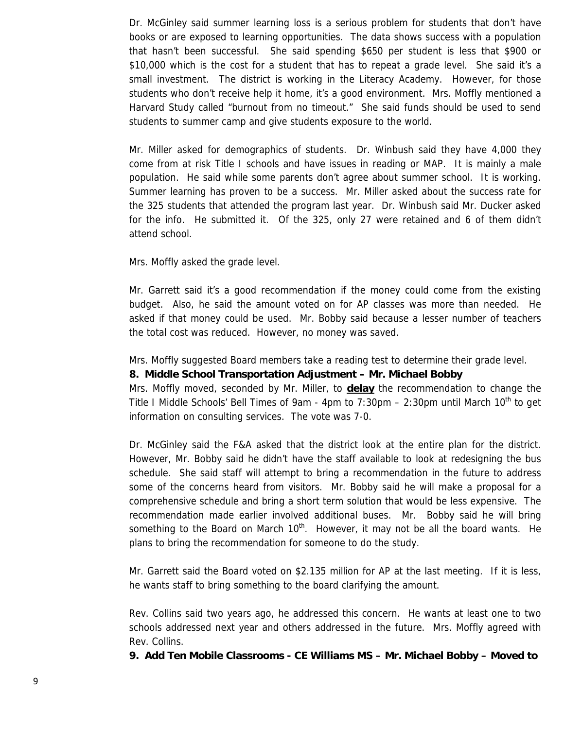Dr. McGinley said summer learning loss is a serious problem for students that don't have books or are exposed to learning opportunities. The data shows success with a population that hasn't been successful. She said spending \$650 per student is less that \$900 or \$10,000 which is the cost for a student that has to repeat a grade level. She said it's a small investment. The district is working in the Literacy Academy. However, for those students who don't receive help it home, it's a good environment. Mrs. Moffly mentioned a Harvard Study called "burnout from no timeout." She said funds should be used to send students to summer camp and give students exposure to the world.

Mr. Miller asked for demographics of students. Dr. Winbush said they have 4,000 they come from at risk Title I schools and have issues in reading or MAP. It is mainly a male population. He said while some parents don't agree about summer school. It is working. Summer learning has proven to be a success. Mr. Miller asked about the success rate for the 325 students that attended the program last year. Dr. Winbush said Mr. Ducker asked for the info. He submitted it. Of the 325, only 27 were retained and 6 of them didn't attend school.

Mrs. Moffly asked the grade level.

Mr. Garrett said it's a good recommendation if the money could come from the existing budget. Also, he said the amount voted on for AP classes was more than needed. He asked if that money could be used. Mr. Bobby said because a lesser number of teachers the total cost was reduced. However, no money was saved.

Mrs. Moffly suggested Board members take a reading test to determine their grade level.

## **8. Middle School Transportation Adjustment – Mr. Michael Bobby**

Mrs. Moffly moved, seconded by Mr. Miller, to **delay** the recommendation to change the Title I Middle Schools' Bell Times of 9am - 4pm to 7:30pm – 2:30pm until March 10<sup>th</sup> to get information on consulting services. The vote was 7-0.

Dr. McGinley said the F&A asked that the district look at the entire plan for the district. However, Mr. Bobby said he didn't have the staff available to look at redesigning the bus schedule. She said staff will attempt to bring a recommendation in the future to address some of the concerns heard from visitors. Mr. Bobby said he will make a proposal for a comprehensive schedule and bring a short term solution that would be less expensive. The recommendation made earlier involved additional buses. Mr. Bobby said he will bring something to the Board on March  $10<sup>th</sup>$ . However, it may not be all the board wants. He plans to bring the recommendation for someone to do the study.

Mr. Garrett said the Board voted on \$2.135 million for AP at the last meeting. If it is less, he wants staff to bring something to the board clarifying the amount.

Rev. Collins said two years ago, he addressed this concern. He wants at least one to two schools addressed next year and others addressed in the future. Mrs. Moffly agreed with Rev. Collins.

**9. Add Ten Mobile Classrooms - CE Williams MS – Mr. Michael Bobby – Moved to**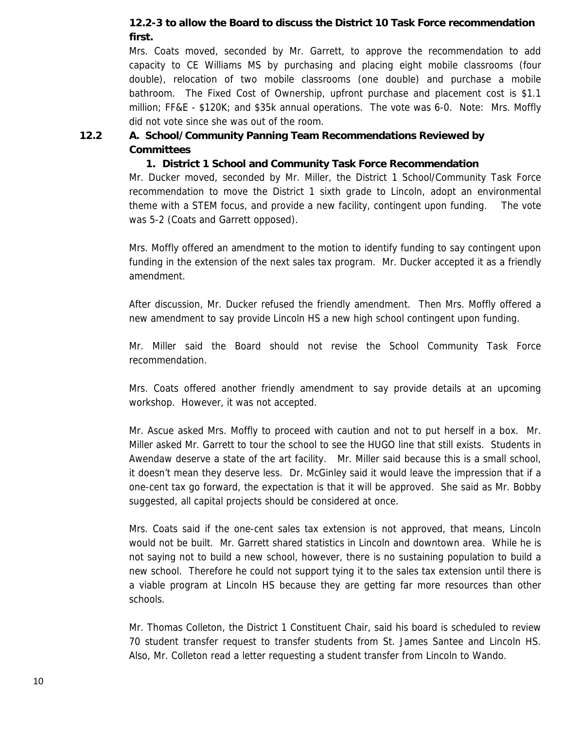## **12.2-3 to allow the Board to discuss the District 10 Task Force recommendation first.**

Mrs. Coats moved, seconded by Mr. Garrett, to approve the recommendation to add capacity to CE Williams MS by purchasing and placing eight mobile classrooms (four double), relocation of two mobile classrooms (one double) and purchase a mobile bathroom. The Fixed Cost of Ownership, upfront purchase and placement cost is \$1.1 million; FF&E - \$120K; and \$35k annual operations. The vote was 6-0. Note: Mrs. Moffly did not vote since she was out of the room.

## **12.2 A. School/Community Panning Team Recommendations Reviewed by Committees**

## **1. District 1 School and Community Task Force Recommendation**

Mr. Ducker moved, seconded by Mr. Miller, the District 1 School/Community Task Force recommendation to move the District 1 sixth grade to Lincoln, adopt an environmental theme with a STEM focus, and provide a new facility, contingent upon funding. The vote was 5-2 (Coats and Garrett opposed).

Mrs. Moffly offered an amendment to the motion to identify funding to say contingent upon funding in the extension of the next sales tax program. Mr. Ducker accepted it as a friendly amendment.

After discussion, Mr. Ducker refused the friendly amendment. Then Mrs. Moffly offered a new amendment to say provide Lincoln HS a new high school contingent upon funding.

Mr. Miller said the Board should not revise the School Community Task Force recommendation.

Mrs. Coats offered another friendly amendment to say provide details at an upcoming workshop. However, it was not accepted.

Mr. Ascue asked Mrs. Moffly to proceed with caution and not to put herself in a box. Mr. Miller asked Mr. Garrett to tour the school to see the HUGO line that still exists. Students in Awendaw deserve a state of the art facility. Mr. Miller said because this is a small school, it doesn't mean they deserve less. Dr. McGinley said it would leave the impression that if a one-cent tax go forward, the expectation is that it will be approved. She said as Mr. Bobby suggested, all capital projects should be considered at once.

Mrs. Coats said if the one-cent sales tax extension is not approved, that means, Lincoln would not be built. Mr. Garrett shared statistics in Lincoln and downtown area. While he is not saying not to build a new school, however, there is no sustaining population to build a new school. Therefore he could not support tying it to the sales tax extension until there is a viable program at Lincoln HS because they are getting far more resources than other schools.

Mr. Thomas Colleton, the District 1 Constituent Chair, said his board is scheduled to review 70 student transfer request to transfer students from St. James Santee and Lincoln HS. Also, Mr. Colleton read a letter requesting a student transfer from Lincoln to Wando.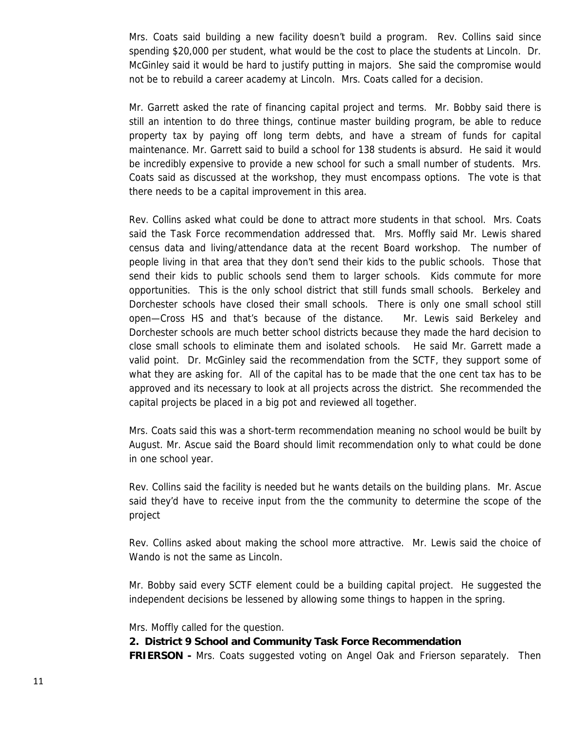Mrs. Coats said building a new facility doesn't build a program. Rev. Collins said since spending \$20,000 per student, what would be the cost to place the students at Lincoln. Dr. McGinley said it would be hard to justify putting in majors. She said the compromise would not be to rebuild a career academy at Lincoln. Mrs. Coats called for a decision.

Mr. Garrett asked the rate of financing capital project and terms. Mr. Bobby said there is still an intention to do three things, continue master building program, be able to reduce property tax by paying off long term debts, and have a stream of funds for capital maintenance. Mr. Garrett said to build a school for 138 students is absurd. He said it would be incredibly expensive to provide a new school for such a small number of students. Mrs. Coats said as discussed at the workshop, they must encompass options. The vote is that there needs to be a capital improvement in this area.

Rev. Collins asked what could be done to attract more students in that school. Mrs. Coats said the Task Force recommendation addressed that. Mrs. Moffly said Mr. Lewis shared census data and living/attendance data at the recent Board workshop. The number of people living in that area that they don't send their kids to the public schools. Those that send their kids to public schools send them to larger schools. Kids commute for more opportunities. This is the only school district that still funds small schools. Berkeley and Dorchester schools have closed their small schools. There is only one small school still open—Cross HS and that's because of the distance. Mr. Lewis said Berkeley and Dorchester schools are much better school districts because they made the hard decision to close small schools to eliminate them and isolated schools. He said Mr. Garrett made a valid point. Dr. McGinley said the recommendation from the SCTF, they support some of what they are asking for. All of the capital has to be made that the one cent tax has to be approved and its necessary to look at all projects across the district. She recommended the capital projects be placed in a big pot and reviewed all together.

Mrs. Coats said this was a short-term recommendation meaning no school would be built by August. Mr. Ascue said the Board should limit recommendation only to what could be done in one school year.

Rev. Collins said the facility is needed but he wants details on the building plans. Mr. Ascue said they'd have to receive input from the the community to determine the scope of the project

Rev. Collins asked about making the school more attractive. Mr. Lewis said the choice of Wando is not the same as Lincoln.

Mr. Bobby said every SCTF element could be a building capital project. He suggested the independent decisions be lessened by allowing some things to happen in the spring.

Mrs. Moffly called for the question.

## **2. District 9 School and Community Task Force Recommendation**

**FRIERSON -** Mrs. Coats suggested voting on Angel Oak and Frierson separately. Then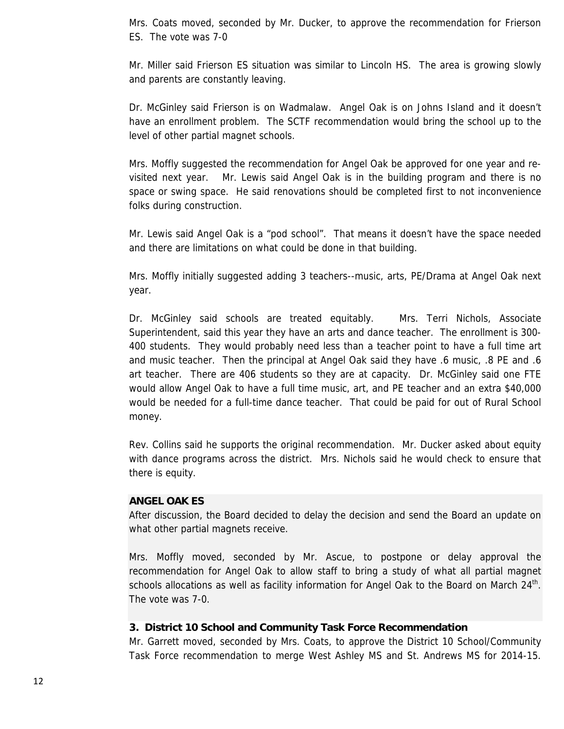Mrs. Coats moved, seconded by Mr. Ducker, to approve the recommendation for Frierson ES. The vote was 7-0

Mr. Miller said Frierson ES situation was similar to Lincoln HS. The area is growing slowly and parents are constantly leaving.

Dr. McGinley said Frierson is on Wadmalaw. Angel Oak is on Johns Island and it doesn't have an enrollment problem. The SCTF recommendation would bring the school up to the level of other partial magnet schools.

Mrs. Moffly suggested the recommendation for Angel Oak be approved for one year and revisited next year. Mr. Lewis said Angel Oak is in the building program and there is no space or swing space. He said renovations should be completed first to not inconvenience folks during construction.

Mr. Lewis said Angel Oak is a "pod school". That means it doesn't have the space needed and there are limitations on what could be done in that building.

Mrs. Moffly initially suggested adding 3 teachers--music, arts, PE/Drama at Angel Oak next year.

Dr. McGinley said schools are treated equitably. Mrs. Terri Nichols, Associate Superintendent, said this year they have an arts and dance teacher. The enrollment is 300- 400 students. They would probably need less than a teacher point to have a full time art and music teacher. Then the principal at Angel Oak said they have .6 music, .8 PE and .6 art teacher. There are 406 students so they are at capacity. Dr. McGinley said one FTE would allow Angel Oak to have a full time music, art, and PE teacher and an extra \$40,000 would be needed for a full-time dance teacher. That could be paid for out of Rural School money.

Rev. Collins said he supports the original recommendation. Mr. Ducker asked about equity with dance programs across the district. Mrs. Nichols said he would check to ensure that there is equity.

## **ANGEL OAK ES**

After discussion, the Board decided to delay the decision and send the Board an update on what other partial magnets receive.

Mrs. Moffly moved, seconded by Mr. Ascue, to postpone or delay approval the recommendation for Angel Oak to allow staff to bring a study of what all partial magnet schools allocations as well as facility information for Angel Oak to the Board on March  $24<sup>th</sup>$ . The vote was 7-0.

## **3. District 10 School and Community Task Force Recommendation**

Mr. Garrett moved, seconded by Mrs. Coats, to approve the District 10 School/Community Task Force recommendation to merge West Ashley MS and St. Andrews MS for 2014-15.